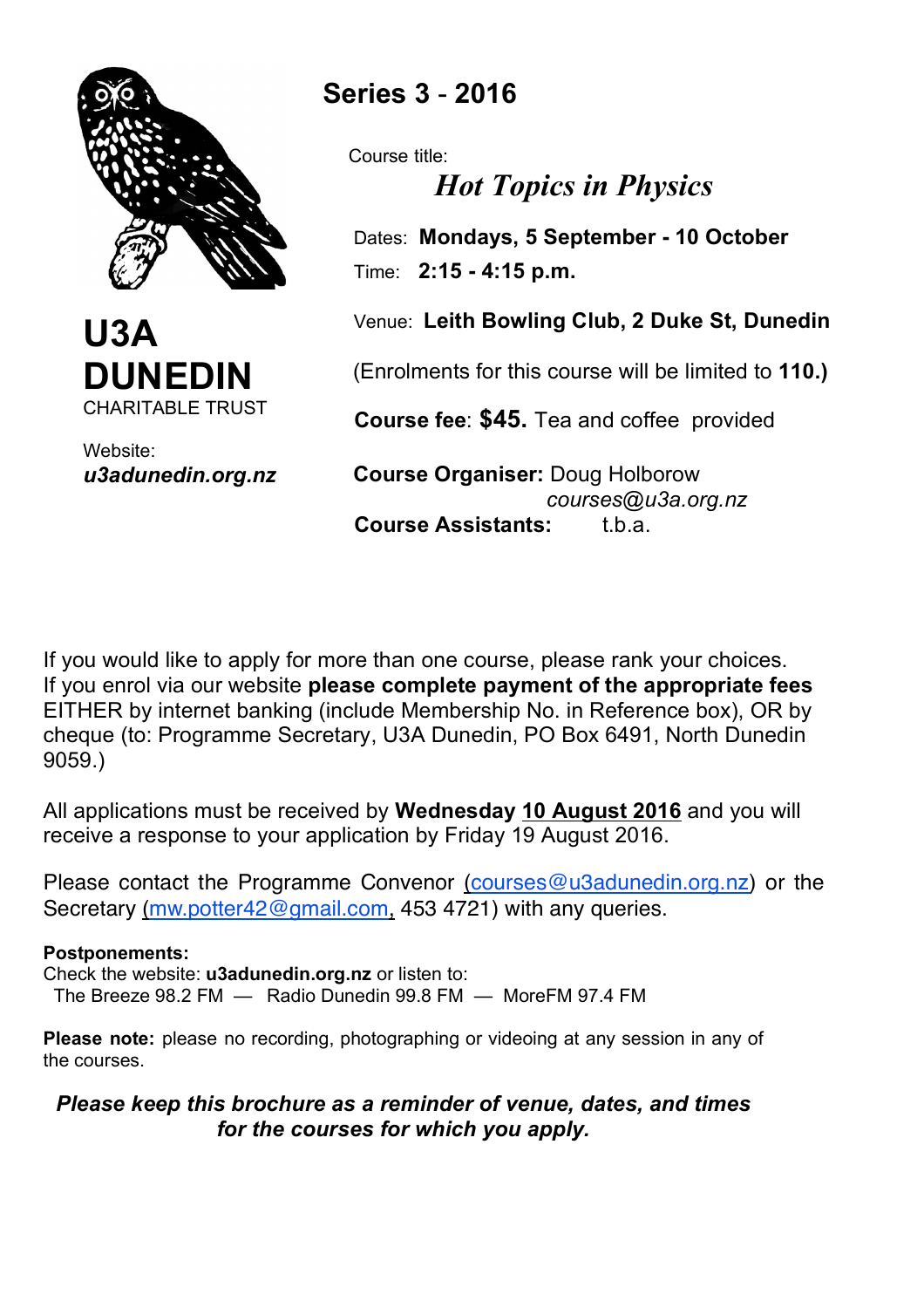



Website: *u3adunedin.org.nz*

# **Series 3** - **2016**

Course title:

*Hot Topics in Physics*

 Dates: **Mondays, 5 September - 10 October** Time: **2:15 - 4:15 p.m.**

Venue: **Leith Bowling Club, 2 Duke St, Dunedin**

(Enrolments for this course will be limited to **110.)**

 **Course fee**: **\$45.** Tea and coffee provided

 **Course Organiser:** Doug Holborow *courses@u3a.org.nz* **Course Assistants:** t.b.a.

If you would like to apply for more than one course, please rank your choices. If you enrol via our website **please complete payment of the appropriate fees** EITHER by internet banking (include Membership No. in Reference box), OR by cheque (to: Programme Secretary, U3A Dunedin, PO Box 6491, North Dunedin 9059.)

All applications must be received by **Wednesday 10 August 2016** and you will receive a response to your application by Friday 19 August 2016.

Please contact the Programme Convenor (courses@u3adunedin.org.nz) or the Secretary (mw.potter42@gmail.com, 453 4721) with any queries.

## **Postponements:**

Check the website: **u3adunedin.org.nz** or listen to: The Breeze 98.2 FM — Radio Dunedin 99.8 FM — MoreFM 97.4 FM

**Please note:** please no recording, photographing or videoing at any session in any of the courses.

# *Please keep this brochure as a reminder of venue, dates, and times for the courses for which you apply.*